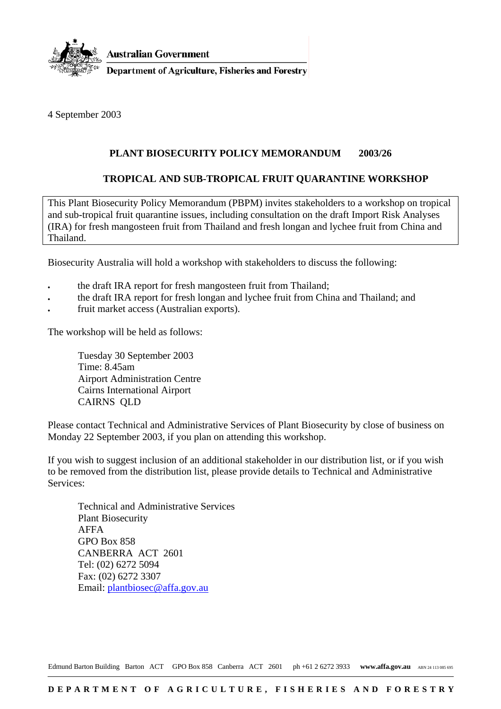

4 September 2003

## **PLANT BIOSECURITY POLICY MEMORANDUM 2003/26**

## **TROPICAL AND SUB-TROPICAL FRUIT QUARANTINE WORKSHOP**

This Plant Biosecurity Policy Memorandum (PBPM) invites stakeholders to a workshop on tropical and sub-tropical fruit quarantine issues, including consultation on the draft Import Risk Analyses (IRA) for fresh mangosteen fruit from Thailand and fresh longan and lychee fruit from China and Thailand.

Biosecurity Australia will hold a workshop with stakeholders to discuss the following:

- the draft IRA report for fresh mangosteen fruit from Thailand;
- the draft IRA report for fresh longan and lychee fruit from China and Thailand; and
- fruit market access (Australian exports).

The workshop will be held as follows:

Tuesday 30 September 2003 Time: 8.45am Airport Administration Centre Cairns International Airport CAIRNS QLD

Please contact Technical and Administrative Services of Plant Biosecurity by close of business on Monday 22 September 2003, if you plan on attending this workshop.

If you wish to suggest inclusion of an additional stakeholder in our distribution list, or if you wish to be removed from the distribution list, please provide details to Technical and Administrative Services:

Technical and Administrative Services Plant Biosecurity AFFA GPO Box 858 CANBERRA ACT 2601 Tel: (02) 6272 5094 Fax: (02) 6272 3307 Email: plantbiosec@affa.gov.au

Edmund Barton Building Barton ACT GPO Box 858 Canberra ACT 2601 ph +61 2 6272 3933 www.affa.gov.au ABN 24 113 085 695